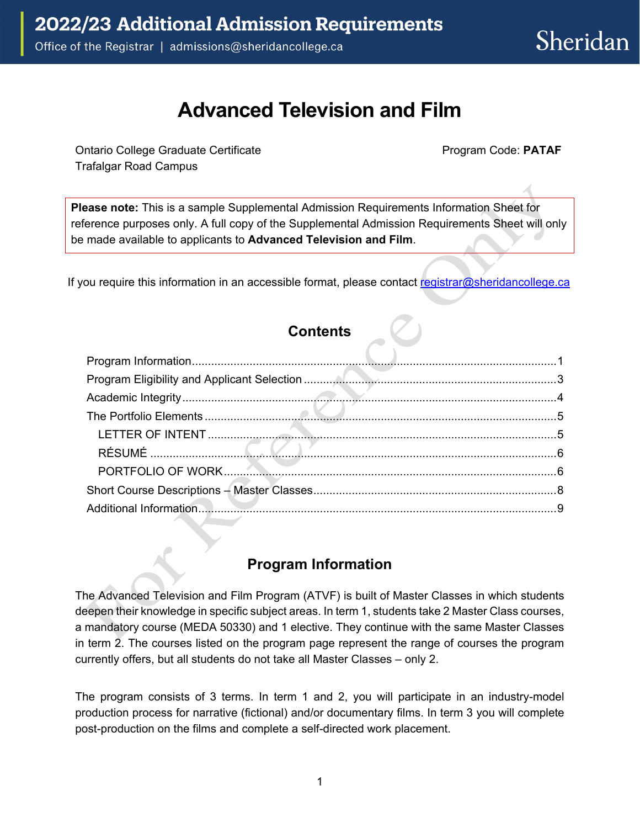## **Advanced Television and Film**

Ontario College Graduate Certificate **Program Code: PATAF** Trafalgar Road Campus

**Please note:** This is a sample Supplemental Admission Requirements Information Sheet for reference purposes only. A full copy of the Supplemental Admission Requirements Sheet will only be made available to applicants to **Advanced Television and Film**.

If you require this information in an accessible format, please contact [registrar@sheridancollege.ca](mailto:registrar@sheridancollege.ca)

## **Contents**

## **Program Information**

<span id="page-0-0"></span>The Advanced Television and Film Program (ATVF) is built of Master Classes in which students deepen their knowledge in specific subject areas. In term 1, students take 2 Master Class courses, a mandatory course (MEDA 50330) and 1 elective. They continue with the same Master Classes in term 2. The courses listed on the program page represent the range of courses the program currently offers, but all students do not take all Master Classes – only 2.

The program consists of 3 terms. In term 1 and 2, you will participate in an industry-model production process for narrative (fictional) and/or documentary films. In term 3 you will complete post-production on the films and complete a self-directed work placement.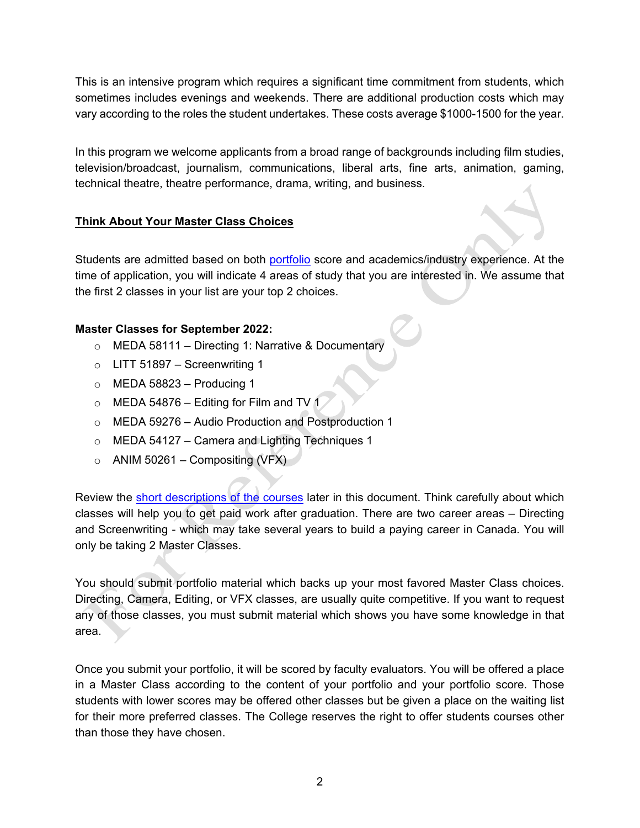This is an intensive program which requires a significant time commitment from students, which sometimes includes evenings and weekends. There are additional production costs which may vary according to the roles the student undertakes. These costs average \$1000-1500 for the year.

In this program we welcome applicants from a broad range of backgrounds including film studies, television/broadcast, journalism, communications, liberal arts, fine arts, animation, gaming, technical theatre, theatre performance, drama, writing, and business.

#### **Think About Your Master Class Choices**

Students are admitted based on both [portfolio](#page-4-0) score and academics/industry experience. At the time of application, you will indicate 4 areas of study that you are interested in. We assume that the first 2 classes in your list are your top 2 choices.

#### **Master Classes for September 2022:**

- o MEDA 58111 Directing 1: Narrative & Documentary
- $\circ$  LITT 51897 Screenwriting 1
- $\circ$  MEDA 58823 Producing 1
- $\circ$  MEDA 54876 Editing for Film and TV 1
- o MEDA 59276 Audio Production and Postproduction 1
- o MEDA 54127 Camera and Lighting Techniques 1
- $\circ$  ANIM 50261 Compositing (VFX)

Review the [short descriptions of the courses](#page-7-0) later in this document. Think carefully about which classes will help you to get paid work after graduation. There are two career areas – Directing and Screenwriting - which may take several years to build a paying career in Canada. You will only be taking 2 Master Classes.

You should submit portfolio material which backs up your most favored Master Class choices. Directing, Camera, Editing, or VFX classes, are usually quite competitive. If you want to request any of those classes, you must submit material which shows you have some knowledge in that area.

Once you submit your portfolio, it will be scored by faculty evaluators. You will be offered a place in a Master Class according to the content of your portfolio and your portfolio score. Those students with lower scores may be offered other classes but be given a place on the waiting list for their more preferred classes. The College reserves the right to offer students courses other than those they have chosen.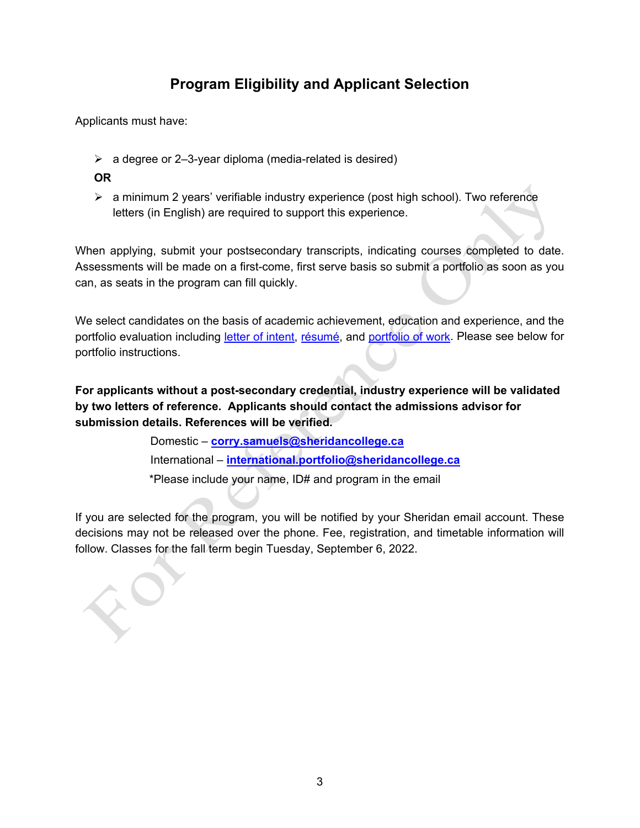## **Program Eligibility and Applicant Selection**

<span id="page-2-0"></span>Applicants must have:

- $\triangleright$  a degree or 2-3-year diploma (media-related is desired)
- **OR**
- $\triangleright$  a minimum 2 years' verifiable industry experience (post high school). Two reference letters (in English) are required to support this experience.

When applying, submit your postsecondary transcripts, indicating courses completed to date. Assessments will be made on a first-come, first serve basis so submit a portfolio as soon as you can, as seats in the program can fill quickly.

We select candidates on the basis of academic achievement, education and experience, and the portfolio evaluation including [letter of intent,](#page-4-1) [résumé,](#page-5-0) and [portfolio of work.](#page-5-1) Please see below for portfolio instructions.

**For applicants without a post-secondary credential, industry experience will be validated by two letters of reference. Applicants should contact the admissions advisor for submission details. References will be verified.**

> Domestic – **[corry.samuels@sheridancollege.ca](mailto:corry.samuels@sheridancollege.ca)** International – **[international.portfolio@sheridancollege.ca](mailto:international.portfolio@sheridancollege.ca)** \*Please include your name, ID# and program in the email

If you are selected for the program, you will be notified by your Sheridan email account. These decisions may not be released over the phone. Fee, registration, and timetable information will follow. Classes for the fall term begin Tuesday, September 6, 2022.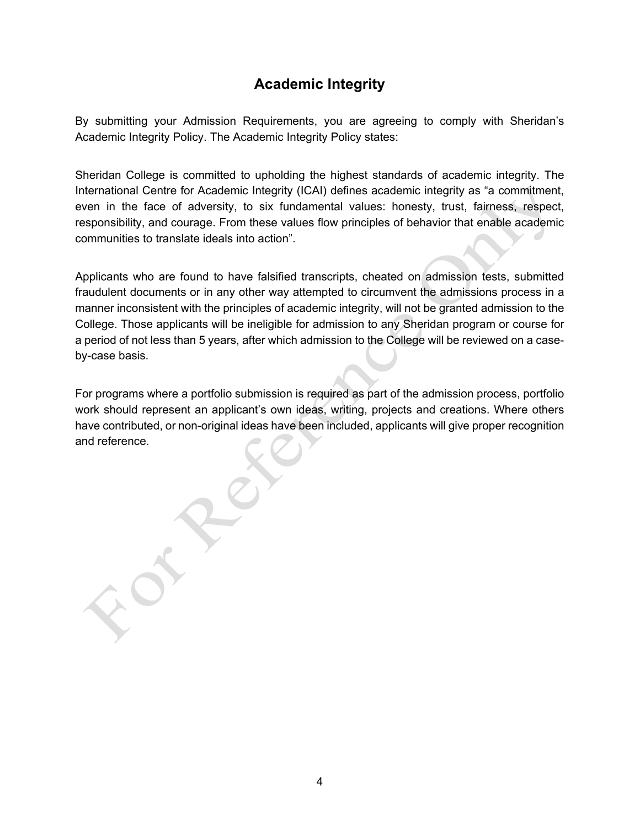## **Academic Integrity**

<span id="page-3-0"></span>By submitting your Admission Requirements, you are agreeing to comply with Sheridan's Academic Integrity Policy. The Academic Integrity Policy states:

Sheridan College is committed to upholding the highest standards of academic integrity. The International Centre for Academic Integrity (ICAI) defines academic integrity as "a commitment, even in the face of adversity, to six fundamental values: honesty, trust, fairness, respect, responsibility, and courage. From these values flow principles of behavior that enable academic communities to translate ideals into action".

Applicants who are found to have falsified transcripts, cheated on admission tests, submitted fraudulent documents or in any other way attempted to circumvent the admissions process in a manner inconsistent with the principles of academic integrity, will not be granted admission to the College. Those applicants will be ineligible for admission to any Sheridan program or course for a period of not less than 5 years, after which admission to the College will be reviewed on a caseby-case basis.

For programs where a portfolio submission is required as part of the admission process, portfolio work should represent an applicant's own ideas, writing, projects and creations. Where others have contributed, or non-original ideas have been included, applicants will give proper recognition and reference.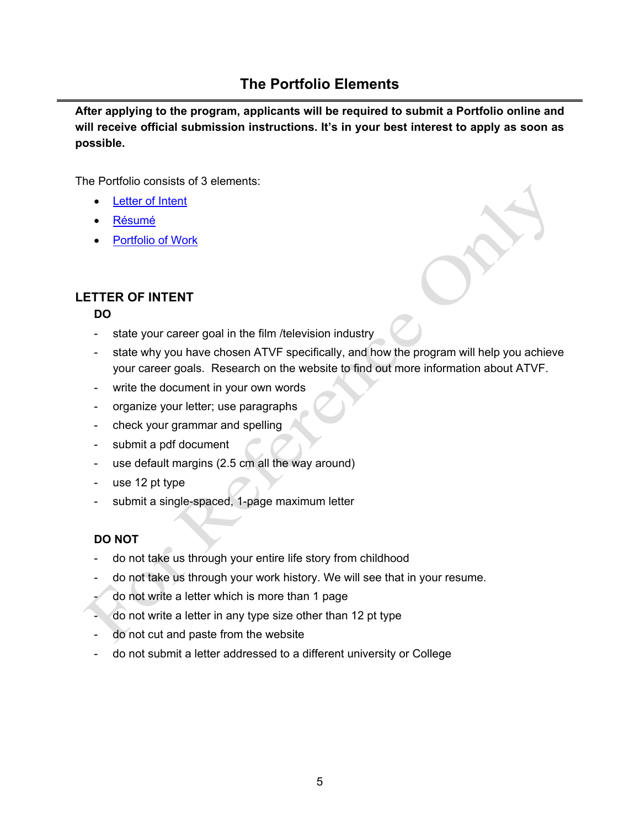## **The Portfolio Elements**

<span id="page-4-0"></span>**After applying to the program, applicants will be required to submit a Portfolio online and will receive official submission instructions. It's in your best interest to apply as soon as possible.**

The Portfolio consists of 3 elements:

- **[Letter of Intent](#page-4-1)**
- [Résumé](#page-5-0)
- [Portfolio of Work](#page-5-1)

## <span id="page-4-1"></span>**LETTER OF INTENT**

#### **DO**

- state your career goal in the film /television industry
- state why you have chosen ATVF specifically, and how the program will help you achieve your career goals. Research on the website to find out more information about ATVF.
- write the document in your own words
- organize your letter; use paragraphs
- check your grammar and spelling
- submit a pdf document
- use default margins (2.5 cm all the way around)
- use 12 pt type
- submit a single-spaced, 1-page maximum letter

#### **DO NOT**

- do not take us through your entire life story from childhood
- do not take us through your work history. We will see that in your resume.
- do not write a letter which is more than 1 page
- do not write a letter in any type size other than 12 pt type
- do not cut and paste from the website
- do not submit a letter addressed to a different university or College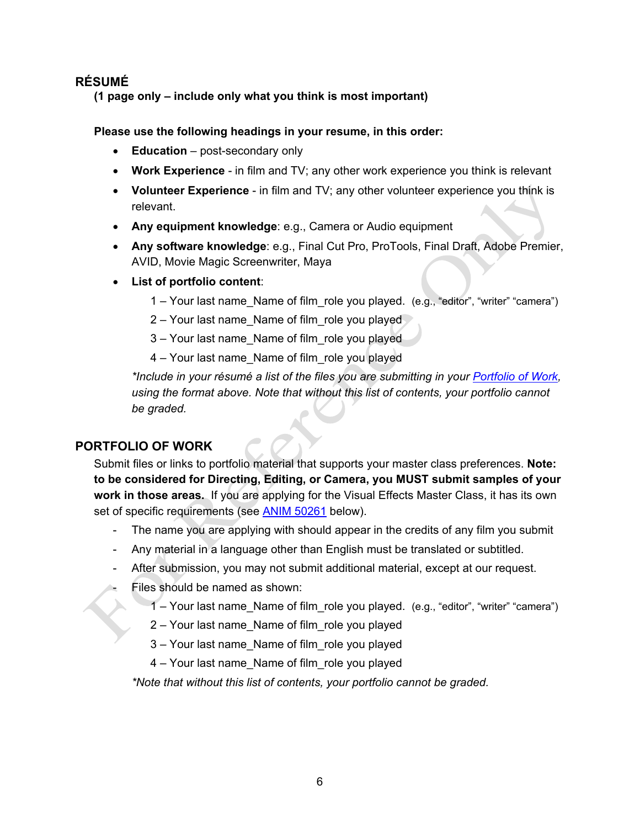## <span id="page-5-0"></span>**RÉSUMÉ**

**(1 page only – include only what you think is most important)** 

#### **Please use the following headings in your resume, in this order:**

- **Education** post-secondary only
- **Work Experience** in film and TV; any other work experience you think is relevant
- **Volunteer Experience** in film and TV; any other volunteer experience you think is relevant.
- **Any equipment knowledge**: e.g., Camera or Audio equipment
- **Any software knowledge**: e.g., Final Cut Pro, ProTools, Final Draft, Adobe Premier, AVID, Movie Magic Screenwriter, Maya
- **List of portfolio content**:
	- 1 Your last name\_Name of film\_role you played. (e.g., "editor", "writer" "camera")
	- 2 Your last name Name of film role you played
	- 3 Your last name\_Name of film\_role you played
	- 4 Your last name\_Name of film\_role you played

*\*Include in your résumé a list of the files you are submitting in your [Portfolio of Work,](#page-5-1) using the format above. Note that without this list of contents, your portfolio cannot be graded.* 

#### <span id="page-5-1"></span>**PORTFOLIO OF WORK**

Submit files or links to portfolio material that supports your master class preferences. **Note: to be considered for Directing, Editing, or Camera, you MUST submit samples of your work in those areas.** If you are applying for the Visual Effects Master Class, it has its own set of specific requirements (see **ANIM 50261** below).

- The name you are applying with should appear in the credits of any film you submit
- Any material in a language other than English must be translated or subtitled.
- After submission, you may not submit additional material, except at our request.
- Files should be named as shown:
	- 1 Your last name\_Name of film\_role you played. (e.g., "editor", "writer" "camera")
	- 2 Your last name\_Name of film\_role you played
	- 3 Your last name\_Name of film\_role you played
	- 4 Your last name\_Name of film\_role you played

*\*Note that without this list of contents, your portfolio cannot be graded.*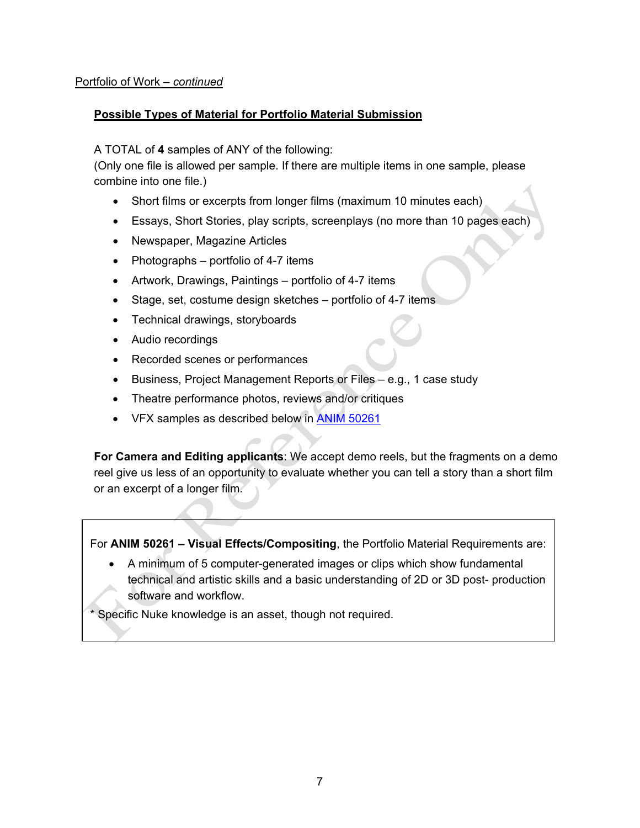#### Portfolio of Work – *continued*

#### **Possible Types of Material for Portfolio Material Submission**

A TOTAL of **4** samples of ANY of the following:

(Only one file is allowed per sample. If there are multiple items in one sample, please combine into one file.)

- Short films or excerpts from longer films (maximum 10 minutes each)
- Essays, Short Stories, play scripts, screenplays (no more than 10 pages each)
- Newspaper, Magazine Articles
- Photographs portfolio of 4-7 items
- Artwork, Drawings, Paintings portfolio of 4-7 items
- Stage, set, costume design sketches portfolio of 4-7 items
- Technical drawings, storyboards
- Audio recordings
- Recorded scenes or performances
- Business, Project Management Reports or Files e.g., 1 case study
- Theatre performance photos, reviews and/or critiques
- VFX samples as described below in **ANIM 50261**

**For Camera and Editing applicants**: We accept demo reels, but the fragments on a demo reel give us less of an opportunity to evaluate whether you can tell a story than a short film or an excerpt of a longer film.

<span id="page-6-0"></span>For **ANIM 50261 – Visual Effects/Compositing**, the Portfolio Material Requirements are:

• A minimum of 5 computer-generated images or clips which show fundamental technical and artistic skills and a basic understanding of 2D or 3D post- production software and workflow.

\* Specific Nuke knowledge is an asset, though not required.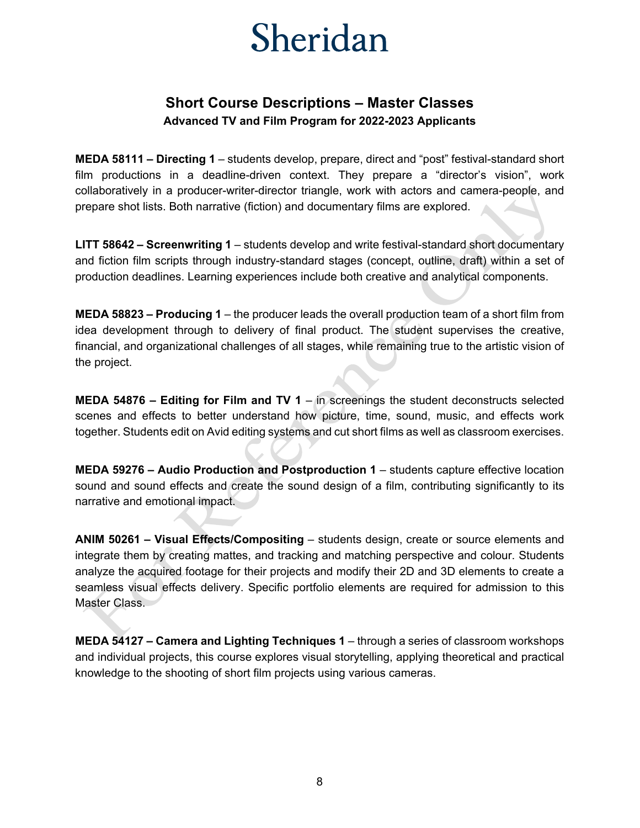# Sheridan

## **Short Course Descriptions – Master Classes Advanced TV and Film Program for 2022-2023 Applicants**

<span id="page-7-0"></span>**MEDA 58111 – Directing 1** – students develop, prepare, direct and "post" festival-standard short film productions in a deadline-driven context. They prepare a "director's vision", work collaboratively in a producer-writer-director triangle, work with actors and camera-people, and prepare shot lists. Both narrative (fiction) and documentary films are explored.

**LITT 58642 – Screenwriting 1** – students develop and write festival-standard short documentary and fiction film scripts through industry-standard stages (concept, outline, draft) within a set of production deadlines. Learning experiences include both creative and analytical components.

**MEDA 58823 – Producing 1** – the producer leads the overall production team of a short film from idea development through to delivery of final product. The student supervises the creative, financial, and organizational challenges of all stages, while remaining true to the artistic vision of the project.

**MEDA 54876 – Editing for Film and TV 1** – in screenings the student deconstructs selected scenes and effects to better understand how picture, time, sound, music, and effects work together. Students edit on Avid editing systems and cut short films as well as classroom exercises.

**MEDA 59276 – Audio Production and Postproduction 1** – students capture effective location sound and sound effects and create the sound design of a film, contributing significantly to its narrative and emotional impact.

**ANIM 50261 – Visual Effects/Compositing** – students design, create or source elements and integrate them by creating mattes, and tracking and matching perspective and colour. Students analyze the acquired footage for their projects and modify their 2D and 3D elements to create a seamless visual effects delivery. Specific portfolio elements are required for admission to this Master Class.

**MEDA 54127 – Camera and Lighting Techniques 1** – through a series of classroom workshops and individual projects, this course explores visual storytelling, applying theoretical and practical knowledge to the shooting of short film projects using various cameras.